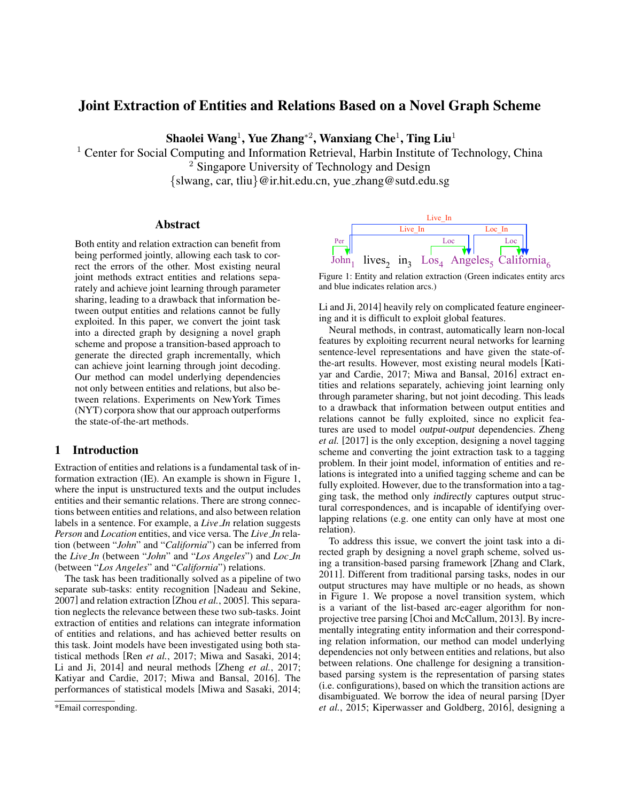# Joint Extraction of Entities and Relations Based on a Novel Graph Scheme

Shaolei Wang $^1$ , Yue Zhang\* $^2$ , Wanxiang Che $^1$ , Ting Liu $^1$ 

 $1$  Center for Social Computing and Information Retrieval, Harbin Institute of Technology, China <sup>2</sup> Singapore University of Technology and Design {slwang, car, tliu}@ir.hit.edu.cn, yue zhang@sutd.edu.sg

#### Abstract

Both entity and relation extraction can benefit from being performed jointly, allowing each task to correct the errors of the other. Most existing neural joint methods extract entities and relations separately and achieve joint learning through parameter sharing, leading to a drawback that information between output entities and relations cannot be fully exploited. In this paper, we convert the joint task into a directed graph by designing a novel graph scheme and propose a transition-based approach to generate the directed graph incrementally, which can achieve joint learning through joint decoding. Our method can model underlying dependencies not only between entities and relations, but also between relations. Experiments on NewYork Times (NYT) corpora show that our approach outperforms the state-of-the-art methods.

## 1 Introduction

Extraction of entities and relations is a fundamental task of information extraction (IE). An example is shown in Figure 1, where the input is unstructured texts and the output includes entities and their semantic relations. There are strong connections between entities and relations, and also between relation labels in a sentence. For example, a *Live In* relation suggests *Person* and *Location* entities, and vice versa. The *Live In* relation (between "*John*" and "*California*") can be inferred from the *Live In* (between "*John*" and "*Los Angeles*") and *Loc In* (between "*Los Angeles*" and "*California*") relations.

The task has been traditionally solved as a pipeline of two separate sub-tasks: entity recognition [Nadeau and Sekine, 2007] and relation extraction [Zhou *et al.*, 2005]. This separation neglects the relevance between these two sub-tasks. Joint extraction of entities and relations can integrate information of entities and relations, and has achieved better results on this task. Joint models have been investigated using both statistical methods [Ren *et al.*, 2017; Miwa and Sasaki, 2014; Li and Ji, 2014] and neural methods [Zheng *et al.*, 2017; Katiyar and Cardie, 2017; Miwa and Bansal, 2016]. The performances of statistical models [Miwa and Sasaki, 2014;



Figure 1: Entity and relation extraction (Green indicates entity arcs and blue indicates relation arcs.)

Li and Ji, 2014] heavily rely on complicated feature engineering and it is difficult to exploit global features.

Neural methods, in contrast, automatically learn non-local features by exploiting recurrent neural networks for learning sentence-level representations and have given the state-ofthe-art results. However, most existing neural models [Katiyar and Cardie, 2017; Miwa and Bansal, 2016] extract entities and relations separately, achieving joint learning only through parameter sharing, but not joint decoding. This leads to a drawback that information between output entities and relations cannot be fully exploited, since no explicit features are used to model output-output dependencies. Zheng *et al.* [2017] is the only exception, designing a novel tagging scheme and converting the joint extraction task to a tagging problem. In their joint model, information of entities and relations is integrated into a unified tagging scheme and can be fully exploited. However, due to the transformation into a tagging task, the method only indirectly captures output structural correspondences, and is incapable of identifying overlapping relations (e.g. one entity can only have at most one relation).

To address this issue, we convert the joint task into a directed graph by designing a novel graph scheme, solved using a transition-based parsing framework [Zhang and Clark, 2011]. Different from traditional parsing tasks, nodes in our output structures may have multiple or no heads, as shown in Figure 1. We propose a novel transition system, which is a variant of the list-based arc-eager algorithm for nonprojective tree parsing [Choi and McCallum, 2013]. By incrementally integrating entity information and their corresponding relation information, our method can model underlying dependencies not only between entities and relations, but also between relations. One challenge for designing a transitionbased parsing system is the representation of parsing states (i.e. configurations), based on which the transition actions are disambiguated. We borrow the idea of neural parsing [Dyer *et al.*, 2015; Kiperwasser and Goldberg, 2016], designing a

<sup>\*</sup>Email corresponding.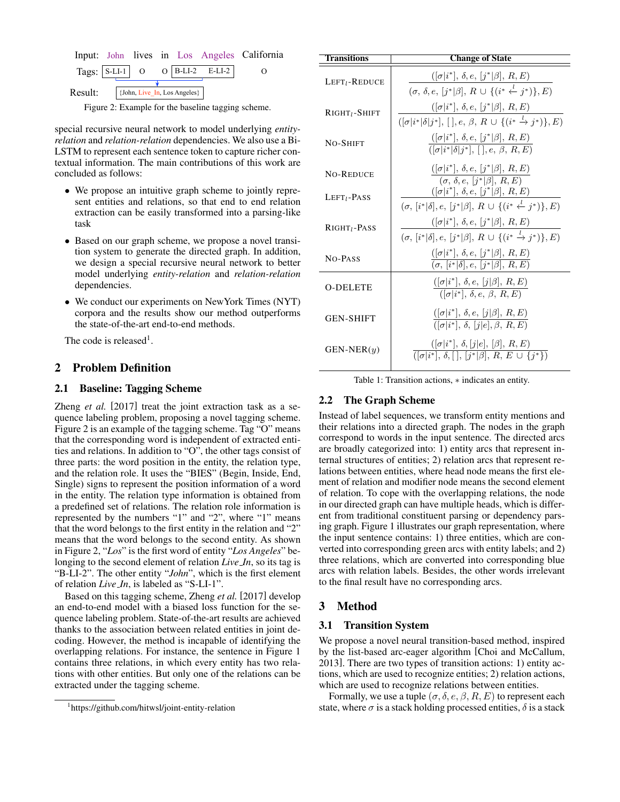|         |  |  |                              |                                       | Input: John lives in Los Angeles California |
|---------|--|--|------------------------------|---------------------------------------|---------------------------------------------|
|         |  |  |                              | Tags: $ S-LI-1 $ O O $ B-LI-2$ E-LI-2 |                                             |
| Result: |  |  | {John, Live_In, Los Angeles} |                                       |                                             |

Figure 2: Example for the baseline tagging scheme.

special recursive neural network to model underlying *entityrelation* and *relation-relation* dependencies. We also use a Bi-LSTM to represent each sentence token to capture richer contextual information. The main contributions of this work are concluded as follows:

- We propose an intuitive graph scheme to jointly represent entities and relations, so that end to end relation extraction can be easily transformed into a parsing-like task
- Based on our graph scheme, we propose a novel transition system to generate the directed graph. In addition, we design a special recursive neural network to better model underlying *entity-relation* and *relation-relation* dependencies.
- We conduct our experiments on NewYork Times (NYT) corpora and the results show our method outperforms the state-of-the-art end-to-end methods.

The code is released<sup>1</sup>.

## 2 Problem Definition

#### 2.1 Baseline: Tagging Scheme

Zheng *et al.* [2017] treat the joint extraction task as a sequence labeling problem, proposing a novel tagging scheme. Figure 2 is an example of the tagging scheme. Tag "O" means that the corresponding word is independent of extracted entities and relations. In addition to "O", the other tags consist of three parts: the word position in the entity, the relation type, and the relation role. It uses the "BIES" (Begin, Inside, End, Single) signs to represent the position information of a word in the entity. The relation type information is obtained from a predefined set of relations. The relation role information is represented by the numbers "1" and "2", where "1" means that the word belongs to the first entity in the relation and "2" means that the word belongs to the second entity. As shown in Figure 2, "*Los*" is the first word of entity "*Los Angeles*" belonging to the second element of relation *Live In*, so its tag is "B-LI-2". The other entity "*John*", which is the first element of relation *Live In*, is labeled as "S-LI-1".

Based on this tagging scheme, Zheng *et al.* [2017] develop an end-to-end model with a biased loss function for the sequence labeling problem. State-of-the-art results are achieved thanks to the association between related entities in joint decoding. However, the method is incapable of identifying the overlapping relations. For instance, the sentence in Figure 1 contains three relations, in which every entity has two relations with other entities. But only one of the relations can be extracted under the tagging scheme.

| Transitions                              | <b>Change of State</b>                                                                                                                                      |
|------------------------------------------|-------------------------------------------------------------------------------------------------------------------------------------------------------------|
| $LEFTl$ -REDUCE                          | $([\sigma   i^*], \delta, e, [j^*   \beta], R, E)$<br>$(\sigma, \delta, e, [j^* \beta], R \cup \{(i^* \leftarrow j^*)\}, E)$                                |
| $R$ IGHT <sub>1</sub> -SHIFT             | $([\sigma   i^*], \delta, e, [j^*   \beta], R, E)$<br>$([\sigma   i^*   \delta   j^*], [], e, \beta, R \cup \{(i^* \stackrel{l}{\rightarrow} j^*)\}, E)$    |
| <b>NO-SHIFT</b>                          | $([\sigma   i^*], \delta, e, [j^*   \beta], R, E)$<br>$([\sigma   i^*   \delta   j^*], [], e, \beta, R, E)$                                                 |
| <b>NO-REDUCE</b>                         | $([\sigma   i^*], \delta, e, [j^*   \beta], R, E)$<br>$(\sigma, \delta, e, [j^* \beta], R, E)$                                                              |
| $LEFTI$ -PASS                            | $([\sigma   i^*], \delta, e, [j^*   \beta], R, E)$<br>$(\sigma, [i^* \delta], e, [j^* \beta], R \cup \{(i^* \leftarrow j^*)\}, E)$                          |
| $R$ IGHT <sub><math>l</math></sub> -Pass | $([\sigma   i^*], \delta, e, [j^*   \beta], R, E)$<br>$(\sigma, [i^* \delta], e, [j^* \beta], R \cup \{(i^* \stackrel{l}{\rightarrow} j^*)\}, E)$           |
| NO-PASS                                  | $([\sigma   i^*], \delta, e, [j^*   \beta], R, E)$<br>$(\sigma, [i^* \delta], e, [j^* \beta], R, E)$                                                        |
| <b>O-DELETE</b>                          | $([\sigma   i^*], \delta, e, [j   \beta], R, E)$<br>$([\sigma   i^*], \delta, e, \beta, R, E)$                                                              |
| <b>GEN-SHIFT</b>                         | $([\sigma   i^*], \delta, e, [j   \beta], R, E)$<br>$([\sigma   i^*], \delta, [j   e], \beta, R, E)$                                                        |
| $GEN-NER(u)$                             | $([\sigma   i^*], \delta, [j   e], [\beta], R, E)$<br>$(\lceil \sigma   i^* \rceil, \delta, \lceil \rceil, \lceil j^*   \beta \rceil, R, E \cup \{ j^* \})$ |

Table 1: Transition actions,  $*$  indicates an entity.

#### 2.2 The Graph Scheme

Instead of label sequences, we transform entity mentions and their relations into a directed graph. The nodes in the graph correspond to words in the input sentence. The directed arcs are broadly categorized into: 1) entity arcs that represent internal structures of entities; 2) relation arcs that represent relations between entities, where head node means the first element of relation and modifier node means the second element of relation. To cope with the overlapping relations, the node in our directed graph can have multiple heads, which is different from traditional constituent parsing or dependency parsing graph. Figure 1 illustrates our graph representation, where the input sentence contains: 1) three entities, which are converted into corresponding green arcs with entity labels; and 2) three relations, which are converted into corresponding blue arcs with relation labels. Besides, the other words irrelevant to the final result have no corresponding arcs.

### 3 Method

#### 3.1 Transition System

We propose a novel neural transition-based method, inspired by the list-based arc-eager algorithm [Choi and McCallum, 2013]. There are two types of transition actions: 1) entity actions, which are used to recognize entities; 2) relation actions, which are used to recognize relations between entities.

Formally, we use a tuple  $(\sigma, \delta, e, \beta, R, E)$  to represent each state, where  $\sigma$  is a stack holding processed entities,  $\delta$  is a stack

<sup>1</sup> https://github.com/hitwsl/joint-entity-relation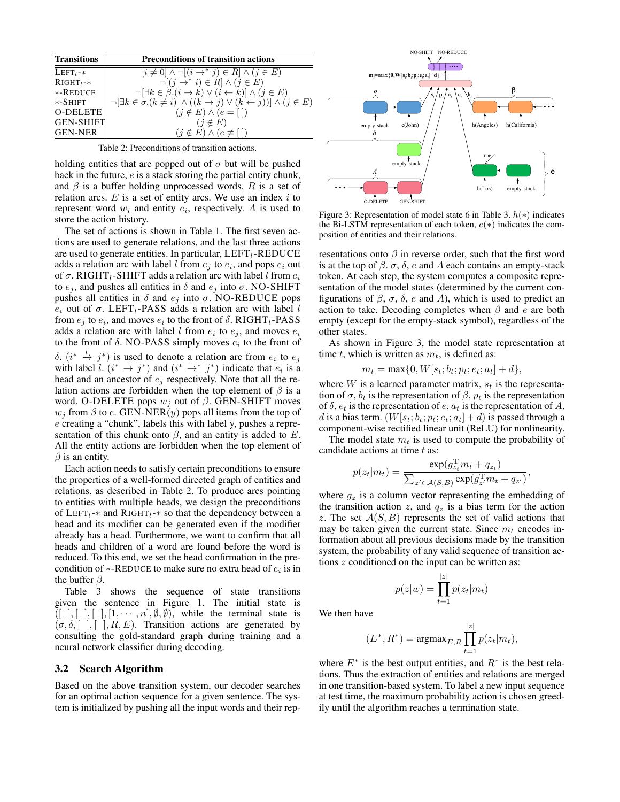| <b>Transitions</b> | <b>Preconditions of transition actions</b>                                                              |
|--------------------|---------------------------------------------------------------------------------------------------------|
| $LEFT1-*$          | $[i \neq 0] \wedge \neg[(i \rightarrow^* j) \in R] \wedge (j \in E)$                                    |
| $RIGHT - *$        | $\neg[(j \rightarrow^* i) \in R] \wedge (j \in E)$                                                      |
| *-REDUCE           | $\neg[\exists k \in \beta \ (i \rightarrow k) \lor (i \leftarrow k)] \land (j \in E)$                   |
| $*-$ SHIFT         | $\neg[\exists k \in \sigma.(k \neq i) \land ((k \rightarrow j) \lor (k \leftarrow j))] \land (j \in E)$ |
| <b>O-DELETE</b>    | $(j \notin E) \wedge (e = [$                                                                            |
| <b>GEN-SHIFT</b>   | $(j \notin E)$                                                                                          |
| <b>GEN-NER</b>     | $(i \notin E) \wedge (e \not\equiv \lceil \rceil)$                                                      |

holding entities that are popped out of  $\sigma$  but will be pushed back in the future, e is a stack storing the partial entity chunk, and  $\beta$  is a buffer holding unprocessed words. R is a set of relation arcs.  $E$  is a set of entity arcs. We use an index i to represent word  $w_i$  and entity  $e_i$ , respectively. A is used to store the action history.

The set of actions is shown in Table 1. The first seven actions are used to generate relations, and the last three actions are used to generate entities. In particular,  $LEFT<sub>l</sub>$ -REDUCE adds a relation arc with label l from  $e_j$  to  $e_i$ , and pops  $e_i$  out of  $\sigma$ . RIGHT<sub>l</sub>-SHIFT adds a relation arc with label l from  $e_i$ to  $e_j$ , and pushes all entities in  $\delta$  and  $e_j$  into  $\sigma$ . NO-SHIFT pushes all entities in  $\delta$  and  $e_j$  into  $\sigma$ . NO-REDUCE pops  $e_i$  out of  $\sigma$ . LEFT<sub>l</sub>-PASS adds a relation arc with label l from  $e_j$  to  $e_i$ , and moves  $e_i$  to the front of  $\delta$ . RIGHT<sub>l</sub>-PASS adds a relation arc with label l from  $e_i$  to  $e_j$ , and moves  $e_i$ to the front of  $\delta$ . NO-PASS simply moves  $e_i$  to the front of δ.  $(i^* \rightarrow j^*)$  is used to denote a relation arc from  $e_i$  to  $e_j$ with label  $l \nvert (i^* \rightarrow j^*)$  and  $(i^* \rightarrow^* j^*)$  indicate that  $e_i$  is a head and an ancestor of  $e_j$  respectively. Note that all the relation actions are forbidden when the top element of  $\beta$  is a word. O-DELETE pops  $w_i$  out of  $\beta$ . GEN-SHIFT moves  $w_i$  from  $\beta$  to e. GEN-NER(y) pops all items from the top of e creating a "chunk", labels this with label y, pushes a representation of this chunk onto  $\beta$ , and an entity is added to E. All the entity actions are forbidden when the top element of  $\beta$  is an entity.

Each action needs to satisfy certain preconditions to ensure the properties of a well-formed directed graph of entities and relations, as described in Table 2. To produce arcs pointing to entities with multiple heads, we design the preconditions of LEFT<sub>l</sub>-\* and RIGHT<sub>l</sub>-\* so that the dependency between a head and its modifier can be generated even if the modifier already has a head. Furthermore, we want to confirm that all heads and children of a word are found before the word is reduced. To this end, we set the head confirmation in the precondition of  $*$ -REDUCE to make sure no extra head of  $e_i$  is in the buffer  $\beta$ .

Table 3 shows the sequence of state transitions given the sentence in Figure 1. The initial state is  $([-], [-], [-], [-], \dots, n], \emptyset, \emptyset)$ , while the terminal state is  $(\sigma, \delta, [\ ] , [\ ] , R, E)$ . Transition actions are generated by consulting the gold-standard graph during training and a neural network classifier during decoding.

## 3.2 Search Algorithm

Based on the above transition system, our decoder searches for an optimal action sequence for a given sentence. The system is initialized by pushing all the input words and their rep-



Figure 3: Representation of model state 6 in Table 3.  $h(*)$  indicates the Bi-LSTM representation of each token,  $e(*)$  indicates the composition of entities and their relations.

resentations onto  $\beta$  in reverse order, such that the first word is at the top of  $\beta$ .  $\sigma$ ,  $\delta$ ,  $e$  and  $A$  each contains an empty-stack token. At each step, the system computes a composite representation of the model states (determined by the current configurations of  $\beta$ ,  $\sigma$ ,  $\delta$ ,  $e$  and  $A$ ), which is used to predict an action to take. Decoding completes when  $\beta$  and e are both empty (except for the empty-stack symbol), regardless of the other states.

As shown in Figure 3, the model state representation at time t, which is written as  $m_t$ , is defined as:

$$
m_t = \max\{0, W[s_t; b_t; p_t; e_t; a_t] + d\},\
$$

where  $W$  is a learned parameter matrix,  $s_t$  is the representation of  $\sigma$ ,  $b_t$  is the representation of  $\beta$ ,  $p_t$  is the representation of  $\delta$ ,  $e_t$  is the representation of  $e$ ,  $a_t$  is the representation of  $A$ , d is a bias term.  $(W[s_t; b_t; p_t; e_t; a_t] + d)$  is passed through a component-wise rectified linear unit (ReLU) for nonlinearity.

The model state  $m_t$  is used to compute the probability of candidate actions at time  $t$  as:

$$
p(z_t|m_t) = \frac{\exp(g_{z_t}^T m_t + q_{z_t})}{\sum_{z' \in \mathcal{A}(S,B)} \exp(g_{z'}^T m_t + q_{z'})},
$$

where  $g_z$  is a column vector representing the embedding of the transition action z, and  $q_z$  is a bias term for the action z. The set  $A(S, B)$  represents the set of valid actions that may be taken given the current state. Since  $m_t$  encodes information about all previous decisions made by the transition system, the probability of any valid sequence of transition actions z conditioned on the input can be written as:

$$
p(z|w) = \prod_{t=1}^{|z|} p(z_t|m_t)
$$

We then have

$$
(E^*, R^*) = \operatorname{argmax}_{E,R} \prod_{t=1}^{|z|} p(z_t|m_t),
$$

where  $E^*$  is the best output entities, and  $R^*$  is the best relations. Thus the extraction of entities and relations are merged in one transition-based system. To label a new input sequence at test time, the maximum probability action is chosen greedily until the algorithm reaches a termination state.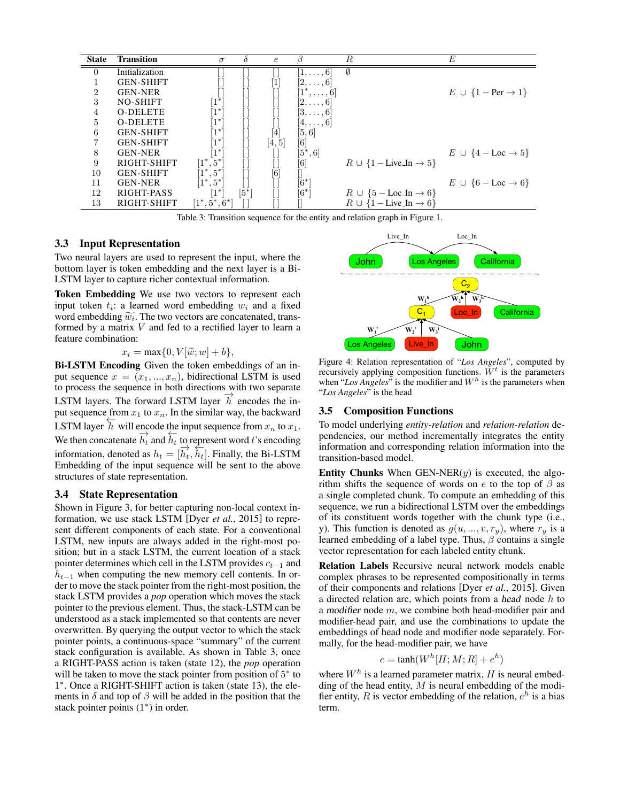

Table 3: Transition sequence for the entity and relation graph in Figure 1.

## 3.3 Input Representation

Two neural layers are used to represent the input, where the bottom layer is token embedding and the next layer is a Bi-LSTM layer to capture richer contextual information.

Token Embedding We use two vectors to represent each input token  $t_i$ : a learned word embedding  $w_i$  and a fixed word embedding  $\widetilde{w_i}$ . The two vectors are concatenated, trans-<br>formed by a matrix V and fed to a rectified layer to learn a formed by a matrix  $V$  and fed to a rectified layer to learn a feature combination:

$$
x_i = \max\{0, V[\tilde{w}; w] + b\},\
$$

 $x_i = \max\{0, V[\tilde{w}; w] + b\},$ <br>**Bi-LSTM Encoding** Given the token embeddings of an input sequence  $x = (x_1, ..., x_n)$ , bidirectional LSTM is used to process the sequence in both directions with two separate LSTM layers. The forward LSTM layer  $\vec{h}$  encodes the input sequence from  $x_1$  to  $x_n$ . In the similar way, the backward LSTM layer  $\overline{h}$  will encode the input sequence from  $x_n$  to  $x_1$ . We then concatenate  $\overrightarrow{h_t}$  and  $\overleftarrow{h_t}$  to represent word t's encoding information, denoted as  $h_t = [\overrightarrow{h_t}, \overleftarrow{h_t}]$ . Finally, the Bi-LSTM Embedding of the input sequence will be sent to the above structures of state representation.

#### 3.4 State Representation

Shown in Figure 3, for better capturing non-local context information, we use stack LSTM [Dyer *et al.*, 2015] to represent different components of each state. For a conventional LSTM, new inputs are always added in the right-most position; but in a stack LSTM, the current location of a stack pointer determines which cell in the LSTM provides  $c_{t-1}$  and  $h_{t-1}$  when computing the new memory cell contents. In order to move the stack pointer from the right-most position, the stack LSTM provides a *pop* operation which moves the stack pointer to the previous element. Thus, the stack-LSTM can be understood as a stack implemented so that contents are never overwritten. By querying the output vector to which the stack pointer points, a continuous-space "summary" of the current stack configuration is available. As shown in Table 3, once a RIGHT-PASS action is taken (state 12), the *pop* operation will be taken to move the stack pointer from position of 5<sup>\*</sup> to 1 ∗ . Once a RIGHT-SHIFT action is taken (state 13), the elements in  $\delta$  and top of  $\beta$  will be added in the position that the stack pointer points  $(1^*)$  in order.



Figure 4: Relation representation of "*Los Angeles*", computed by recursively applying composition functions.  $\tilde{W}^t$  is the parameters when "Los Angeles" is the modifier and  $W<sup>h</sup>$  is the parameters when "*Los Angeles*" is the head

#### 3.5 Composition Functions

To model underlying *entity-relation* and *relation-relation* dependencies, our method incrementally integrates the entity information and corresponding relation information into the transition-based model.

**Entity Chunks** When GEN-NER $(y)$  is executed, the algorithm shifts the sequence of words on e to the top of  $\beta$  as a single completed chunk. To compute an embedding of this sequence, we run a bidirectional LSTM over the embeddings of its constituent words together with the chunk type (i.e., y). This function is denoted as  $g(u, ..., v, r_y)$ , where  $r_y$  is a learned embedding of a label type. Thus,  $\beta$  contains a single vector representation for each labeled entity chunk.

Relation Labels Recursive neural network models enable complex phrases to be represented compositionally in terms of their components and relations [Dyer *et al.*, 2015]. Given a directed relation arc, which points from a head node h to a modifier node  $m$ , we combine both head-modifier pair and modifier-head pair, and use the combinations to update the embeddings of head node and modifier node separately. Formally, for the head-modifier pair, we have

$$
c = \tanh(W^h[H; M; R] + e^h)
$$

where  $W^h$  is a learned parameter matrix, H is neural embedding of the head entity,  $M$  is neural embedding of the modifier entity, R is vector embedding of the relation,  $e^h$  is a bias term.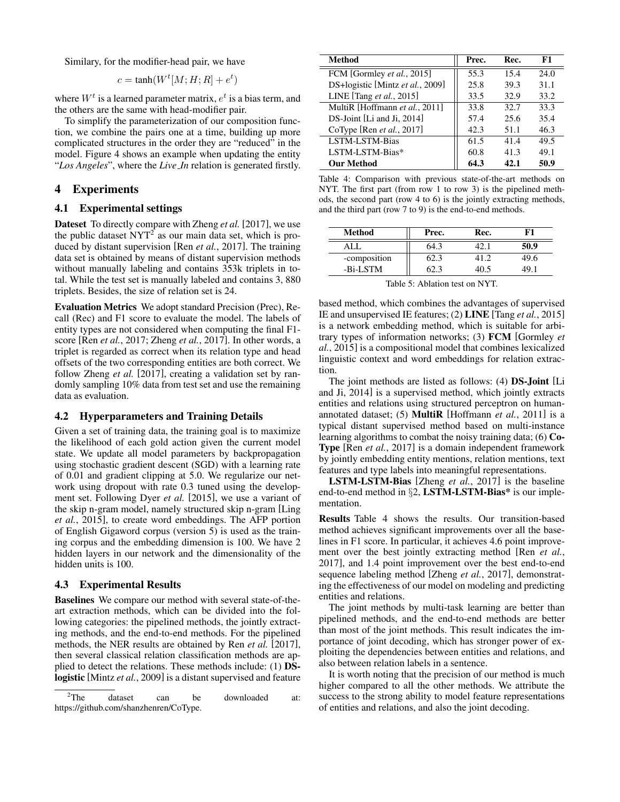Similary, for the modifier-head pair, we have

$$
c = \tanh(W^t[M; H; R] + e^t)
$$

where  $W^t$  is a learned parameter matrix,  $e^t$  is a bias term, and the others are the same with head-modifier pair.

To simplify the parameterization of our composition function, we combine the pairs one at a time, building up more complicated structures in the order they are "reduced" in the model. Figure 4 shows an example when updating the entity "*Los Angeles*", where the *Live In* relation is generated firstly.

## 4 Experiments

#### 4.1 Experimental settings

Dateset To directly compare with Zheng *et al.* [2017], we use the public dataset  $NYT^2$  as our main data set, which is produced by distant supervision [Ren *et al.*, 2017]. The training data set is obtained by means of distant supervision methods without manually labeling and contains 353k triplets in total. While the test set is manually labeled and contains 3, 880 triplets. Besides, the size of relation set is 24.

Evaluation Metrics We adopt standard Precision (Prec), Recall (Rec) and F1 score to evaluate the model. The labels of entity types are not considered when computing the final F1 score [Ren *et al.*, 2017; Zheng *et al.*, 2017]. In other words, a triplet is regarded as correct when its relation type and head offsets of the two corresponding entities are both correct. We follow Zheng *et al.* [2017], creating a validation set by randomly sampling 10% data from test set and use the remaining data as evaluation.

#### 4.2 Hyperparameters and Training Details

Given a set of training data, the training goal is to maximize the likelihood of each gold action given the current model state. We update all model parameters by backpropagation using stochastic gradient descent (SGD) with a learning rate of 0.01 and gradient clipping at 5.0. We regularize our network using dropout with rate 0.3 tuned using the development set. Following Dyer *et al.* [2015], we use a variant of the skip n-gram model, namely structured skip n-gram [Ling *et al.*, 2015], to create word embeddings. The AFP portion of English Gigaword corpus (version 5) is used as the training corpus and the embedding dimension is 100. We have 2 hidden layers in our network and the dimensionality of the hidden units is 100.

#### 4.3 Experimental Results

Baselines We compare our method with several state-of-theart extraction methods, which can be divided into the following categories: the pipelined methods, the jointly extracting methods, and the end-to-end methods. For the pipelined methods, the NER results are obtained by Ren *et al.* [2017], then several classical relation classification methods are applied to detect the relations. These methods include: (1) DSlogistic [Mintz *et al.*, 2009] is a distant supervised and feature

| <b>Method</b>                    | Prec. | Rec. | F1   |
|----------------------------------|-------|------|------|
| FCM [Gormley et al., 2015]       | 55.3  | 15.4 | 24.0 |
| DS+logistic [Mintz et al., 2009] | 25.8  | 39.3 | 31.1 |
| LINE [Tang et al., 2015]         | 33.5  | 32.9 | 33.2 |
| MultiR [Hoffmann et al., 2011]   | 33.8  | 32.7 | 33.3 |
| DS-Joint [Li and Ji, 2014]       | 57.4  | 25.6 | 35.4 |
| CoType [Ren et al., 2017]        | 42.3  | 51.1 | 46.3 |
| <b>LSTM-LSTM-Bias</b>            | 61.5  | 41.4 | 49.5 |
| LSTM-LSTM-Bias*                  | 60.8  | 41.3 | 49.1 |
| <b>Our Method</b>                | 64.3  | 42 I | 50.9 |

Table 4: Comparison with previous state-of-the-art methods on NYT. The first part (from row 1 to row 3) is the pipelined methods, the second part (row 4 to 6) is the jointly extracting methods, and the third part (row 7 to 9) is the end-to-end methods.

| Method       | Prec. | Rec. |      |
|--------------|-------|------|------|
|              | 64.3  |      | 50.9 |
| -composition | 52.3  |      | 49.6 |
| -Bi-LSTM     | 62.3  | 40.5 | 10   |

Table 5: Ablation test on NYT.

based method, which combines the advantages of supervised IE and unsupervised IE features; (2) LINE [Tang *et al.*, 2015] is a network embedding method, which is suitable for arbitrary types of information networks; (3) FCM [Gormley *et al.*, 2015] is a compositional model that combines lexicalized linguistic context and word embeddings for relation extraction.

The joint methods are listed as follows: (4) DS-Joint [Li and Ji, 2014] is a supervised method, which jointly extracts entities and relations using structured perceptron on humanannotated dataset; (5) MultiR [Hoffmann *et al.*, 2011] is a typical distant supervised method based on multi-instance learning algorithms to combat the noisy training data; (6) Co-Type [Ren *et al.*, 2017] is a domain independent framework by jointly embedding entity mentions, relation mentions, text features and type labels into meaningful representations.

LSTM-LSTM-Bias [Zheng *et al.*, 2017] is the baseline end-to-end method in §2, LSTM-LSTM-Bias\* is our implementation.

Results Table 4 shows the results. Our transition-based method achieves significant improvements over all the baselines in F1 score. In particular, it achieves 4.6 point improvement over the best jointly extracting method [Ren *et al.*, 2017], and 1.4 point improvement over the best end-to-end sequence labeling method [Zheng *et al.*, 2017], demonstrating the effectiveness of our model on modeling and predicting entities and relations.

The joint methods by multi-task learning are better than pipelined methods, and the end-to-end methods are better than most of the joint methods. This result indicates the importance of joint decoding, which has stronger power of exploiting the dependencies between entities and relations, and also between relation labels in a sentence.

It is worth noting that the precision of our method is much higher compared to all the other methods. We attribute the success to the strong ability to model feature representations of entities and relations, and also the joint decoding.

 $2$ The dataset can be downloaded at: https://github.com/shanzhenren/CoType.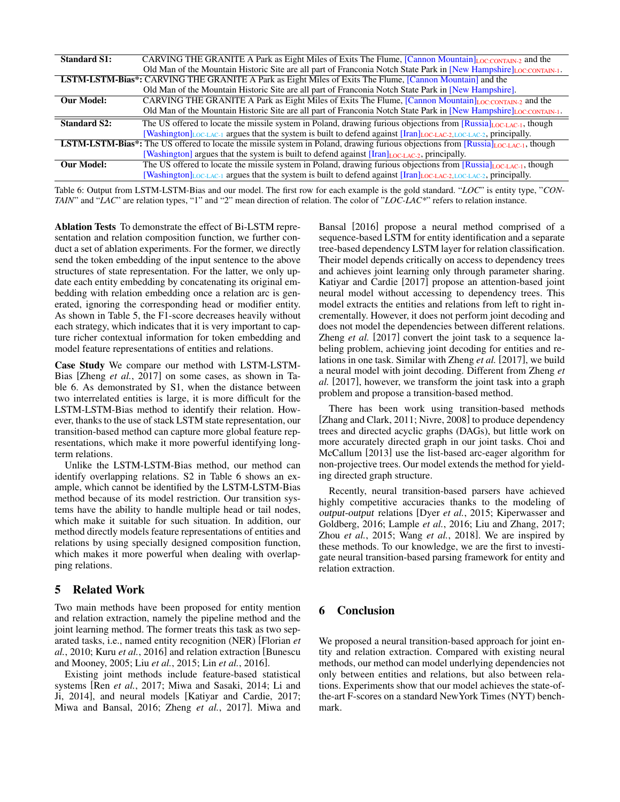| <b>Standard S1:</b>                                                                                                                                   | CARVING THE GRANITE A Park as Eight Miles of Exits The Flume, [Cannon Mountain]LOC:CONTAIN-2 and the                                       |  |  |
|-------------------------------------------------------------------------------------------------------------------------------------------------------|--------------------------------------------------------------------------------------------------------------------------------------------|--|--|
|                                                                                                                                                       | Old Man of the Mountain Historic Site are all part of Franconia Notch State Park in [New Hampshire] <sub>LOC:CONTAIN-1</sub> .             |  |  |
| <b>LSTM-LSTM-Bias*:</b> CARVING THE GRANITE A Park as Eight Miles of Exits The Flume, [Cannon Mountain] and the                                       |                                                                                                                                            |  |  |
|                                                                                                                                                       | Old Man of the Mountain Historic Site are all part of Franconia Notch State Park in [New Hampshire].                                       |  |  |
| <b>Our Model:</b>                                                                                                                                     | CARVING THE GRANITE A Park as Eight Miles of Exits The Flume, $[Cannon Mountain]_{LOC:CONTAIN-2}$ and the                                  |  |  |
|                                                                                                                                                       | Old Man of the Mountain Historic Site are all part of Franconia Notch State Park in [New Hampshire] <sub>LOC:CONTAIN-1</sub> .             |  |  |
| <b>Standard S2:</b>                                                                                                                                   | The US offered to locate the missile system in Poland, drawing furious objections from [Russia]LOC-LAC-1, though                           |  |  |
|                                                                                                                                                       | [Washington] $_{\text{LOC-LAC-1}}$ argues that the system is built to defend against [Iran] $_{\text{LOC-LAC-2,LOC-LAC-2}}$ , principally. |  |  |
| <b>LSTM-ESTM-Bias*:</b> The US offered to locate the missile system in Poland, drawing furious objections from [Russia] <sub>LOC-LAC-1</sub> , though |                                                                                                                                            |  |  |
|                                                                                                                                                       | [Washington] argues that the system is built to defend against [Iran] LOC-LAC-2, principally.                                              |  |  |
| <b>Our Model:</b>                                                                                                                                     | The US offered to locate the missile system in Poland, drawing furious objections from [Russia] <sub>LOC-LAC-1</sub> , though              |  |  |
|                                                                                                                                                       | [Washington] $_{\text{LOC-LAC-1}}$ argues that the system is built to defend against [Iran] $_{\text{LOC-LAC-2,LOC-LAC-2}}$ , principally. |  |  |

Table 6: Output from LSTM-LSTM-Bias and our model. The first row for each example is the gold standard. "*LOC*" is entity type, "*CON-TAIN*" and "*LAC*" are relation types, "1" and "2" mean direction of relation. The color of "*LOC-LAC\**" refers to relation instance.

Ablation Tests To demonstrate the effect of Bi-LSTM representation and relation composition function, we further conduct a set of ablation experiments. For the former, we directly send the token embedding of the input sentence to the above structures of state representation. For the latter, we only update each entity embedding by concatenating its original embedding with relation embedding once a relation arc is generated, ignoring the corresponding head or modifier entity. As shown in Table 5, the F1-score decreases heavily without each strategy, which indicates that it is very important to capture richer contextual information for token embedding and model feature representations of entities and relations.

Case Study We compare our method with LSTM-LSTM-Bias [Zheng *et al.*, 2017] on some cases, as shown in Table 6. As demonstrated by S1, when the distance between two interrelated entities is large, it is more difficult for the LSTM-LSTM-Bias method to identify their relation. However, thanks to the use of stack LSTM state representation, our transition-based method can capture more global feature representations, which make it more powerful identifying longterm relations.

Unlike the LSTM-LSTM-Bias method, our method can identify overlapping relations. S2 in Table 6 shows an example, which cannot be identified by the LSTM-LSTM-Bias method because of its model restriction. Our transition systems have the ability to handle multiple head or tail nodes, which make it suitable for such situation. In addition, our method directly models feature representations of entities and relations by using specially designed composition function, which makes it more powerful when dealing with overlapping relations.

## 5 Related Work

Two main methods have been proposed for entity mention and relation extraction, namely the pipeline method and the joint learning method. The former treats this task as two separated tasks, i.e., named entity recognition (NER) [Florian *et al.*, 2010; Kuru *et al.*, 2016] and relation extraction [Bunescu and Mooney, 2005; Liu *et al.*, 2015; Lin *et al.*, 2016].

Existing joint methods include feature-based statistical systems [Ren *et al.*, 2017; Miwa and Sasaki, 2014; Li and Ji, 2014], and neural models [Katiyar and Cardie, 2017; Miwa and Bansal, 2016; Zheng *et al.*, 2017]. Miwa and Bansal [2016] propose a neural method comprised of a sequence-based LSTM for entity identification and a separate tree-based dependency LSTM layer for relation classification. Their model depends critically on access to dependency trees and achieves joint learning only through parameter sharing. Katiyar and Cardie [2017] propose an attention-based joint neural model without accessing to dependency trees. This model extracts the entities and relations from left to right incrementally. However, it does not perform joint decoding and does not model the dependencies between different relations. Zheng *et al.* [2017] convert the joint task to a sequence labeling problem, achieving joint decoding for entities and relations in one task. Similar with Zheng *et al.* [2017], we build a neural model with joint decoding. Different from Zheng *et al.* [2017], however, we transform the joint task into a graph problem and propose a transition-based method.

There has been work using transition-based methods [Zhang and Clark, 2011; Nivre, 2008] to produce dependency trees and directed acyclic graphs (DAGs), but little work on more accurately directed graph in our joint tasks. Choi and McCallum [2013] use the list-based arc-eager algorithm for non-projective trees. Our model extends the method for yielding directed graph structure.

Recently, neural transition-based parsers have achieved highly competitive accuracies thanks to the modeling of output-output relations [Dyer *et al.*, 2015; Kiperwasser and Goldberg, 2016; Lample *et al.*, 2016; Liu and Zhang, 2017; Zhou *et al.*, 2015; Wang *et al.*, 2018]. We are inspired by these methods. To our knowledge, we are the first to investigate neural transition-based parsing framework for entity and relation extraction.

# 6 Conclusion

We proposed a neural transition-based approach for joint entity and relation extraction. Compared with existing neural methods, our method can model underlying dependencies not only between entities and relations, but also between relations. Experiments show that our model achieves the state-ofthe-art F-scores on a standard NewYork Times (NYT) benchmark.